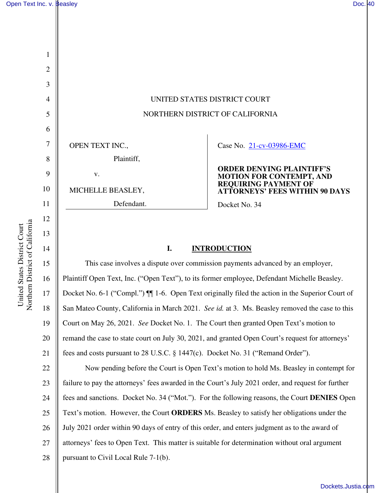

# **I. INTRODUCTION**

15 16 17 18 19 20 21 This case involves a dispute over commission payments advanced by an employer, Plaintiff Open Text, Inc. ("Open Text"), to its former employee, Defendant Michelle Beasley. Docket No. 6-1 ("Compl.")  $\P$  1-6. Open Text originally filed the action in the Superior Court of San Mateo County, California in March 2021. *See id.* at 3. Ms. Beasley removed the case to this Court on May 26, 2021. *See* Docket No. 1. The Court then granted Open Text's motion to remand the case to state court on July 30, 2021, and granted Open Court's request for attorneys' fees and costs pursuant to 28 U.S.C. § 1447(c). Docket No. 31 ("Remand Order").

22 23 24 25 26 27 28 Now pending before the Court is Open Text's motion to hold Ms. Beasley in contempt for failure to pay the attorneys' fees awarded in the Court's July 2021 order, and request for further fees and sanctions. Docket No. 34 ("Mot."). For the following reasons, the Court **DENIES** Open Text's motion. However, the Court **ORDERS** Ms. Beasley to satisfy her obligations under the July 2021 order within 90 days of entry of this order, and enters judgment as to the award of attorneys' fees to Open Text. This matter is suitable for determination without oral argument pursuant to Civil Local Rule 7-1(b).

14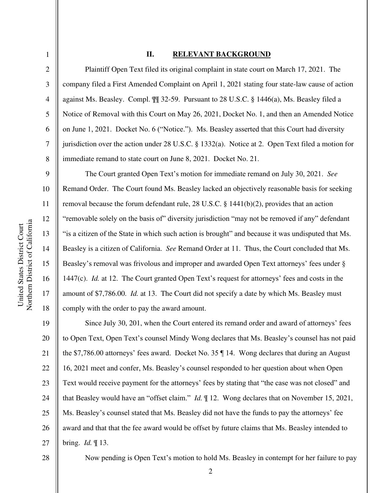#### **II. RELEVANT BACKGROUND**

18

1

2

3

4

5

6

7

Plaintiff Open Text filed its original complaint in state court on March 17, 2021. The company filed a First Amended Complaint on April 1, 2021 stating four state-law cause of action against Ms. Beasley. Compl. ¶¶ 32-59. Pursuant to 28 U.S.C. § 1446(a), Ms. Beasley filed a Notice of Removal with this Court on May 26, 2021, Docket No. 1, and then an Amended Notice on June 1, 2021. Docket No. 6 ("Notice."). Ms. Beasley asserted that this Court had diversity jurisdiction over the action under 28 U.S.C. § 1332(a). Notice at 2. Open Text filed a motion for immediate remand to state court on June 8, 2021. Docket No. 21.

The Court granted Open Text's motion for immediate remand on July 30, 2021. *See*  Remand Order. The Court found Ms. Beasley lacked an objectively reasonable basis for seeking removal because the forum defendant rule, 28 U.S.C. § 1441(b)(2), provides that an action "removable solely on the basis of" diversity jurisdiction "may not be removed if any" defendant "is a citizen of the State in which such action is brought" and because it was undisputed that Ms. Beasley is a citizen of California. *See* Remand Order at 11. Thus, the Court concluded that Ms. Beasley's removal was frivolous and improper and awarded Open Text attorneys' fees under § 1447(c). *Id.* at 12. The Court granted Open Text's request for attorneys' fees and costs in the amount of \$7,786.00. *Id.* at 13. The Court did not specify a date by which Ms. Beasley must comply with the order to pay the award amount.

19 20 21 22 23 24 25 26 27 Since July 30, 201, when the Court entered its remand order and award of attorneys' fees to Open Text, Open Text's counsel Mindy Wong declares that Ms. Beasley's counsel has not paid the \$7,786.00 attorneys' fees award. Docket No. 35 ¶ 14. Wong declares that during an August 16, 2021 meet and confer, Ms. Beasley's counsel responded to her question about when Open Text would receive payment for the attorneys' fees by stating that "the case was not closed" and that Beasley would have an "offset claim." *Id.* ¶ 12. Wong declares that on November 15, 2021, Ms. Beasley's counsel stated that Ms. Beasley did not have the funds to pay the attorneys' fee award and that that the fee award would be offset by future claims that Ms. Beasley intended to bring. *Id.* ¶ 13.

28

Now pending is Open Text's motion to hold Ms. Beasley in contempt for her failure to pay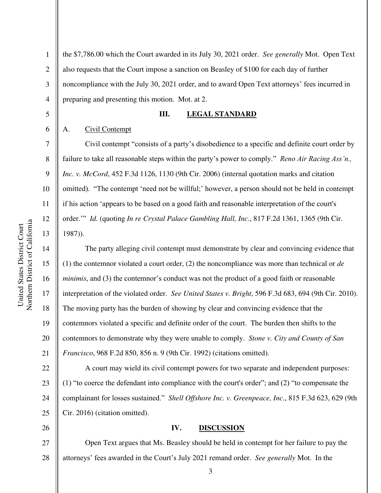the \$7,786.00 which the Court awarded in its July 30, 2021 order. *See generally* Mot. Open Text also requests that the Court impose a sanction on Beasley of \$100 for each day of further noncompliance with the July 30, 2021 order, and to award Open Text attorneys' fees incurred in preparing and presenting this motion. Mot. at 2.

## **III. LEGAL STANDARD**

#### A. Civil Contempt

1

2

3

4

5

6

7

8

9

10

11

12

13

14

15

16

17

18

19

20

21

26

Civil contempt "consists of a party's disobedience to a specific and definite court order by failure to take all reasonable steps within the party's power to comply." *Reno Air Racing Ass'n., Inc. v. McCord*, 452 F.3d 1126, 1130 (9th Cir. 2006) (internal quotation marks and citation omitted). "The contempt 'need not be willful;' however, a person should not be held in contempt if his action 'appears to be based on a good faith and reasonable interpretation of the court's order.'" *Id.* (quoting *In re Crystal Palace Gambling Hall, Inc.*, 817 F.2d 1361, 1365 (9th Cir. 1987)).

The party alleging civil contempt must demonstrate by clear and convincing evidence that (1) the contemnor violated a court order, (2) the noncompliance was more than technical or *de minimis*, and (3) the contemnor's conduct was not the product of a good faith or reasonable interpretation of the violated order. *See United States v. Bright*, 596 F.3d 683, 694 (9th Cir. 2010). The moving party has the burden of showing by clear and convincing evidence that the contemnors violated a specific and definite order of the court. The burden then shifts to the contemnors to demonstrate why they were unable to comply. *Stone v. City and County of San Francisco*, 968 F.2d 850, 856 n. 9 (9th Cir. 1992) (citations omitted).

22 23 24 25 A court may wield its civil contempt powers for two separate and independent purposes: (1) "to coerce the defendant into compliance with the court's order"; and (2) "to compensate the complainant for losses sustained." *Shell Offshore Inc. v. Greenpeace, Inc*., 815 F.3d 623, 629 (9th Cir. 2016) (citation omitted).

# **IV. DISCUSSION**

27 28 Open Text argues that Ms. Beasley should be held in contempt for her failure to pay the attorneys' fees awarded in the Court's July 2021 remand order. *See generally* Mot. In the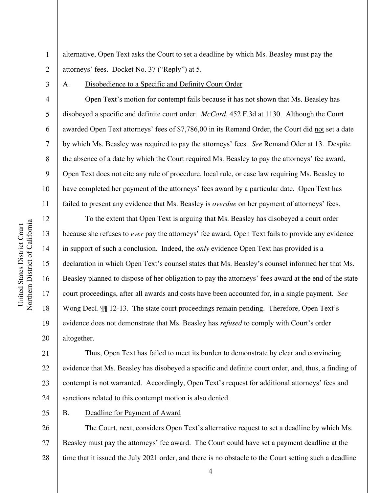alternative, Open Text asks the Court to set a deadline by which Ms. Beasley must pay the attorneys' fees. Docket No. 37 ("Reply") at 5.

3

4

5

6

7

8

9

10

11

12

13

14

15

16

17

18

19

20

1

2

#### A. Disobedience to a Specific and Definity Court Order

Open Text's motion for contempt fails because it has not shown that Ms. Beasley has disobeyed a specific and definite court order. *McCord*, 452 F.3d at 1130. Although the Court awarded Open Text attorneys' fees of \$7,786,00 in its Remand Order, the Court did not set a date by which Ms. Beasley was required to pay the attorneys' fees. *See* Remand Oder at 13. Despite the absence of a date by which the Court required Ms. Beasley to pay the attorneys' fee award, Open Text does not cite any rule of procedure, local rule, or case law requiring Ms. Beasley to have completed her payment of the attorneys' fees award by a particular date. Open Text has failed to present any evidence that Ms. Beasley is *overdue* on her payment of attorneys' fees.

To the extent that Open Text is arguing that Ms. Beasley has disobeyed a court order because she refuses to *ever* pay the attorneys' fee award, Open Text fails to provide any evidence in support of such a conclusion. Indeed, the *only* evidence Open Text has provided is a declaration in which Open Text's counsel states that Ms. Beasley's counsel informed her that Ms. Beasley planned to dispose of her obligation to pay the attorneys' fees award at the end of the state court proceedings, after all awards and costs have been accounted for, in a single payment. *See*  Wong Decl. ¶¶ 12-13. The state court proceedings remain pending. Therefore, Open Text's evidence does not demonstrate that Ms. Beasley has *refused* to comply with Court's order altogether.

21 22 23 24 Thus, Open Text has failed to meet its burden to demonstrate by clear and convincing evidence that Ms. Beasley has disobeyed a specific and definite court order, and, thus, a finding of contempt is not warranted. Accordingly, Open Text's request for additional attorneys' fees and sanctions related to this contempt motion is also denied.

25

## B. Deadline for Payment of Award

26 27 28 The Court, next, considers Open Text's alternative request to set a deadline by which Ms. Beasley must pay the attorneys' fee award. The Court could have set a payment deadline at the time that it issued the July 2021 order, and there is no obstacle to the Court setting such a deadline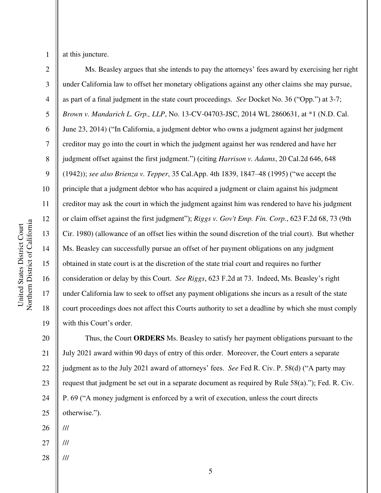1

2

3

5

8

9

11

13

14

15

17

18

19

at this juncture.

4 6 7 10 12 16 Ms. Beasley argues that she intends to pay the attorneys' fees award by exercising her right under California law to offset her monetary obligations against any other claims she may pursue, as part of a final judgment in the state court proceedings. *See* Docket No. 36 ("Opp.") at 3-7; *Brown v. Mandarich L. Grp., LLP*, No. 13-CV-04703-JSC, 2014 WL 2860631, at \*1 (N.D. Cal. June 23, 2014) ("In California, a judgment debtor who owns a judgment against her judgment creditor may go into the court in which the judgment against her was rendered and have her judgment offset against the first judgment.") (citing *Harrison v. Adams*, 20 Cal.2d 646, 648 (1942)); *see also Brienza v. Tepper*, 35 Cal.App. 4th 1839, 1847–48 (1995) ("we accept the principle that a judgment debtor who has acquired a judgment or claim against his judgment creditor may ask the court in which the judgment against him was rendered to have his judgment or claim offset against the first judgment"); *Riggs v. Gov't Emp. Fin. Corp.*, 623 F.2d 68, 73 (9th Cir. 1980) (allowance of an offset lies within the sound discretion of the trial court). But whether Ms. Beasley can successfully pursue an offset of her payment obligations on any judgment obtained in state court is at the discretion of the state trial court and requires no further consideration or delay by this Court. *See Riggs*, 623 F.2d at 73. Indeed, Ms. Beasley's right under California law to seek to offset any payment obligations she incurs as a result of the state court proceedings does not affect this Courts authority to set a deadline by which she must comply with this Court's order.

20 21 22 23 24 25 Thus, the Court **ORDERS** Ms. Beasley to satisfy her payment obligations pursuant to the July 2021 award within 90 days of entry of this order. Moreover, the Court enters a separate judgment as to the July 2021 award of attorneys' fees. *See* Fed R. Civ. P. 58(d) ("A party may request that judgment be set out in a separate document as required by Rule 58(a)."); Fed. R. Civ. P. 69 ("A money judgment is enforced by a writ of execution, unless the court directs otherwise.").

26 ///

- 27 ///
- 28 ///